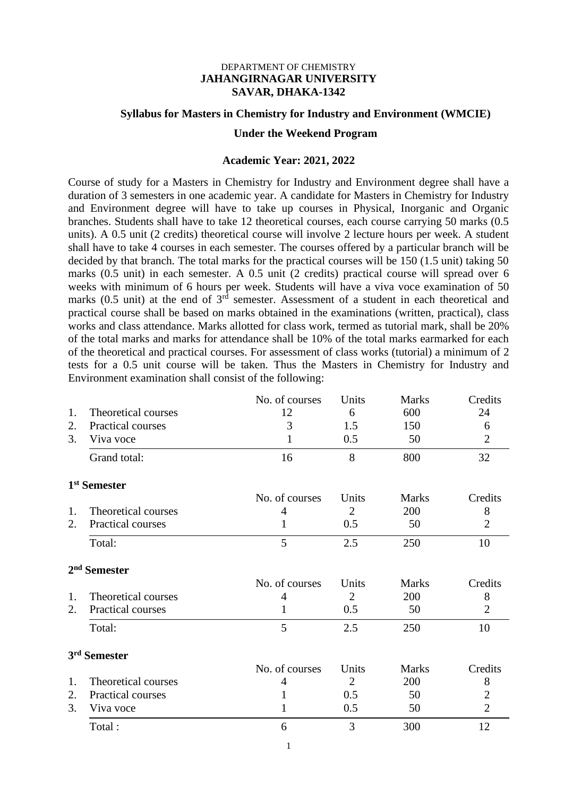#### DEPARTMENT OF CHEMISTRY **JAHANGIRNAGAR UNIVERSITY SAVAR, DHAKA-1342**

# **Syllabus for Masters in Chemistry for Industry and Environment (WMCIE) Under the Weekend Program**

#### **Academic Year: 2021, 2022**

Course of study for a Masters in Chemistry for Industry and Environment degree shall have a duration of 3 semesters in one academic year. A candidate for Masters in Chemistry for Industry and Environment degree will have to take up courses in Physical, Inorganic and Organic branches. Students shall have to take 12 theoretical courses, each course carrying 50 marks (0.5 units). A 0.5 unit (2 credits) theoretical course will involve 2 lecture hours per week. A student shall have to take 4 courses in each semester. The courses offered by a particular branch will be decided by that branch. The total marks for the practical courses will be 150 (1.5 unit) taking 50 marks (0.5 unit) in each semester. A 0.5 unit (2 credits) practical course will spread over 6 weeks with minimum of 6 hours per week. Students will have a viva voce examination of 50 marks (0.5 unit) at the end of  $3<sup>rd</sup>$  semester. Assessment of a student in each theoretical and practical course shall be based on marks obtained in the examinations (written, practical), class works and class attendance. Marks allotted for class work, termed as tutorial mark, shall be 20% of the total marks and marks for attendance shall be 10% of the total marks earmarked for each of the theoretical and practical courses. For assessment of class works (tutorial) a minimum of 2 tests for a 0.5 unit course will be taken. Thus the Masters in Chemistry for Industry and Environment examination shall consist of the following:

|    |                          | No. of courses | Units          | <b>Marks</b> | Credits        |
|----|--------------------------|----------------|----------------|--------------|----------------|
| 1. | Theoretical courses      | 12             | 6              | 600          | 24             |
| 2. | Practical courses        | 3              | 1.5            | 150          | 6              |
| 3. | Viva voce                | 1              | 0.5            | 50           | $\overline{2}$ |
|    | Grand total:             | 16             | 8              | 800          | 32             |
|    | 1 <sup>st</sup> Semester |                |                |              |                |
|    |                          | No. of courses | Units          | Marks        | Credits        |
| 1. | Theoretical courses      | $\overline{4}$ | $\overline{2}$ | 200          | 8              |
| 2. | Practical courses        | 1              | 0.5            | 50           | $\overline{2}$ |
|    | Total:                   | 5              | 2.5            | 250          | 10             |
|    | 2 <sup>nd</sup> Semester |                |                |              |                |
|    |                          | No. of courses | Units          | <b>Marks</b> | Credits        |
| 1. | Theoretical courses      | 4              | $\overline{2}$ | 200          | 8              |
| 2. | Practical courses        | 1              | 0.5            | 50           | $\overline{2}$ |
|    | Total:                   | 5              | 2.5            | 250          | 10             |
|    | 3 <sup>rd</sup> Semester |                |                |              |                |
|    |                          | No. of courses | Units          | <b>Marks</b> | Credits        |
| 1. | Theoretical courses      | 4              | $\overline{2}$ | 200          | 8              |
| 2. | Practical courses        | 1              | 0.5            | 50           | 2              |
| 3. | Viva voce                | 1              | 0.5            | 50           | $\overline{2}$ |
|    | Total:                   | 6              | 3              | 300          | 12             |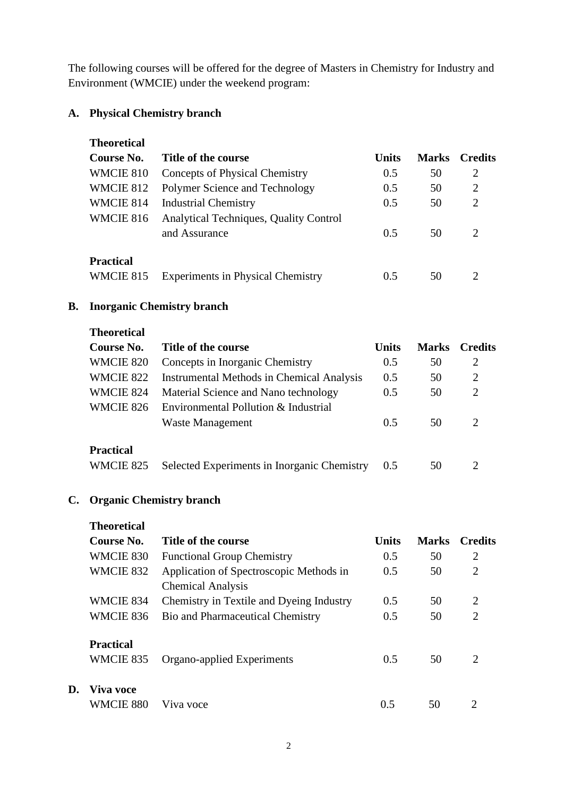The following courses will be offered for the degree of Masters in Chemistry for Industry and Environment (WMCIE) under the weekend program:

# **A. Physical Chemistry branch**

| <b>Theoretical</b> |                                          |              |              |                             |
|--------------------|------------------------------------------|--------------|--------------|-----------------------------|
| Course No.         | Title of the course                      | <b>Units</b> | <b>Marks</b> | <b>Credits</b>              |
| WMCIE 810          | Concepts of Physical Chemistry           | 0.5          | 50           | 2                           |
| WMCIE 812          | Polymer Science and Technology           | 0.5          | 50           | 2                           |
| WMCIE 814          | <b>Industrial Chemistry</b>              | 0.5          | 50           | $\mathcal{D}_{\cdot}$       |
| WMCIE 816          | Analytical Techniques, Quality Control   |              |              |                             |
|                    | and Assurance                            | 0.5          | 50           | $\mathcal{D}_{\mathcal{L}}$ |
| <b>Practical</b>   |                                          |              |              |                             |
| WMCIE 815          | <b>Experiments in Physical Chemistry</b> | 0.5          | 50           | 2                           |

# **B. Inorganic Chemistry branch**

**Theoretical**

| Course No.       | Title of the course                              | <b>Units</b> | <b>Marks</b> | <b>Credits</b>              |
|------------------|--------------------------------------------------|--------------|--------------|-----------------------------|
| WMCIE 820        | Concepts in Inorganic Chemistry                  | 0.5          | 50           | 2                           |
| WMCIE 822        | <b>Instrumental Methods in Chemical Analysis</b> | 0.5          | 50           | 2                           |
| WMCIE 824        | Material Science and Nano technology             | 0.5          | 50           | 2                           |
| WMCIE 826        | Environmental Pollution & Industrial             |              |              |                             |
|                  | <b>Waste Management</b>                          | 0.5          | 50           | 2                           |
| <b>Practical</b> |                                                  |              |              |                             |
| WMCIE 825        | Selected Experiments in Inorganic Chemistry      | 0.5          | 50           | $\mathcal{D}_{\mathcal{L}}$ |

# **C. Organic Chemistry branch**

**D.** 

| <b>Theoretical</b> |                                          |              |              |                             |
|--------------------|------------------------------------------|--------------|--------------|-----------------------------|
| Course No.         | Title of the course                      | <b>Units</b> | <b>Marks</b> | <b>Credits</b>              |
| WMCIE 830          | <b>Functional Group Chemistry</b>        | 0.5          | 50           | 2                           |
| WMCIE 832          | Application of Spectroscopic Methods in  | 0.5          | 50           | $\overline{2}$              |
|                    | <b>Chemical Analysis</b>                 |              |              |                             |
| WMCIE 834          | Chemistry in Textile and Dyeing Industry | 0.5          | 50           | 2                           |
| WMCIE 836          | Bio and Pharmaceutical Chemistry         | 0.5          | 50           | 2                           |
| <b>Practical</b>   |                                          |              |              |                             |
| WMCIE 835          | Organo-applied Experiments               | 0.5          | 50           | $\mathcal{D}_{\mathcal{L}}$ |
| Viva voce          |                                          |              |              |                             |
| WMCIE 880          | Viva voce                                | 0.5          | 50           |                             |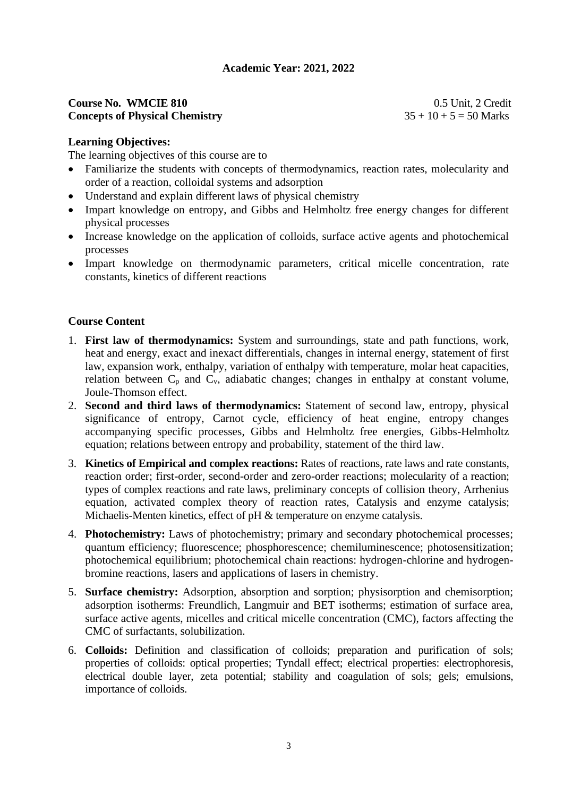#### **Course No. WMCIE 810** 0.5 Unit, 2 Credit **Concepts of Physical Chemistry**  $35 + 10 + 5 = 50$  Marks

#### **Learning Objectives:**

The learning objectives of this course are to

- Familiarize the students with concepts of thermodynamics, reaction rates, molecularity and order of a reaction, colloidal systems and adsorption
- Understand and explain different laws of physical chemistry
- Impart knowledge on entropy, and Gibbs and Helmholtz free energy changes for different physical processes
- Increase knowledge on the application of colloids, surface active agents and photochemical processes
- Impart knowledge on thermodynamic parameters, critical micelle concentration, rate constants, kinetics of different reactions

# **Course Content**

- 1. **First law of thermodynamics:** System and surroundings, state and path functions, work, heat and energy, exact and inexact differentials, changes in internal energy, statement of first law, expansion work, enthalpy, variation of enthalpy with temperature, molar heat capacities, relation between  $C_p$  and  $C_v$ , adiabatic changes; changes in enthalpy at constant volume, Joule-Thomson effect.
- 2. **Second and third laws of thermodynamics:** Statement of second law, entropy, physical significance of entropy, Carnot cycle, efficiency of heat engine, entropy changes accompanying specific processes, Gibbs and Helmholtz free energies, Gibbs-Helmholtz equation; relations between entropy and probability, statement of the third law.
- 3. **Kinetics of Empirical and complex reactions:** Rates of reactions, rate laws and rate constants, reaction order; first-order, second-order and zero-order reactions; molecularity of a reaction; types of complex reactions and rate laws, preliminary concepts of collision theory, Arrhenius equation, activated complex theory of reaction rates, Catalysis and enzyme catalysis; Michaelis-Menten kinetics, effect of pH & temperature on enzyme catalysis.
- 4. **Photochemistry:** Laws of photochemistry; primary and secondary photochemical processes; quantum efficiency; fluorescence; phosphorescence; chemiluminescence; photosensitization; photochemical equilibrium; photochemical chain reactions: hydrogen-chlorine and hydrogenbromine reactions, lasers and applications of lasers in chemistry.
- 5. **Surface chemistry:** Adsorption, absorption and sorption; physisorption and chemisorption; adsorption isotherms: Freundlich, Langmuir and BET isotherms; estimation of surface area, surface active agents, micelles and critical micelle concentration (CMC), factors affecting the CMC of surfactants, solubilization.
- 6. **Colloids:** Definition and classification of colloids; preparation and purification of sols; properties of colloids: optical properties; Tyndall effect; electrical properties: electrophoresis, electrical double layer, zeta potential; stability and coagulation of sols; gels; emulsions, importance of colloids.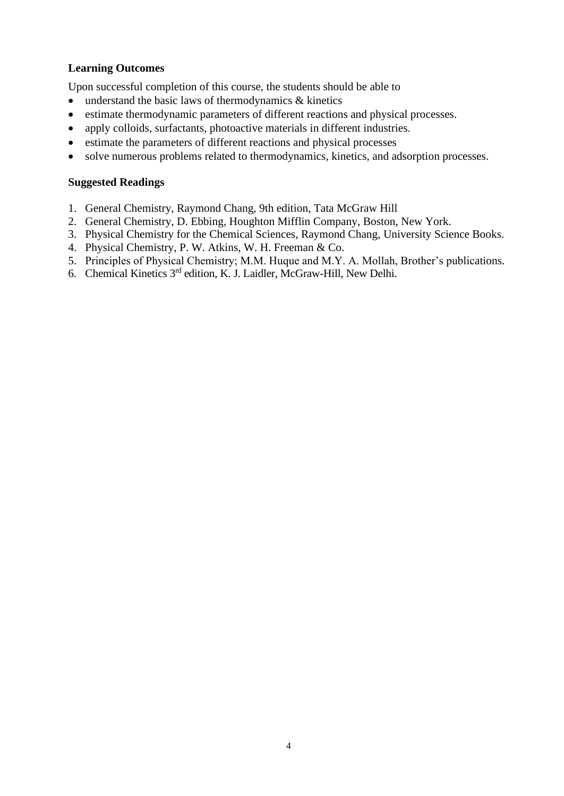# **Learning Outcomes**

Upon successful completion of this course, the students should be able to

- understand the basic laws of thermodynamics & kinetics
- estimate thermodynamic parameters of different reactions and physical processes.
- apply colloids, surfactants, photoactive materials in different industries.
- estimate the parameters of different reactions and physical processes
- solve numerous problems related to thermodynamics, kinetics, and adsorption processes.

- 1. General Chemistry, Raymond Chang, 9th edition, Tata McGraw Hill
- 2. General Chemistry, D. Ebbing, Houghton Mifflin Company, Boston, New York.
- 3. Physical Chemistry for the Chemical Sciences, Raymond Chang, University Science Books.
- 4. Physical Chemistry, P. W. Atkins, W. H. Freeman & Co.
- 5. Principles of Physical Chemistry; M.M. Huque and M.Y. A. Mollah, Brother's publications.
- 6. Chemical Kinetics 3rd edition, K. J. Laidler, McGraw-Hill, New Delhi.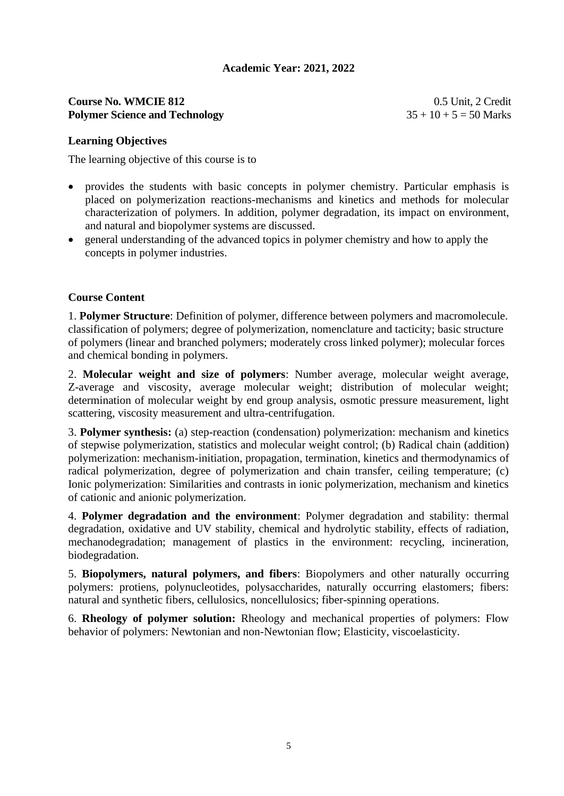#### **Course No. WMCIE 812** 0.5 Unit, 2 Credit **Polymer Science and Technology** 35 + 10 + 5 = 50 Marks

#### **Learning Objectives**

The learning objective of this course is to

- provides the students with basic concepts in polymer chemistry. Particular emphasis is placed on polymerization reactions-mechanisms and kinetics and methods for molecular characterization of polymers. In addition, polymer degradation, its impact on environment, and natural and biopolymer systems are discussed.
- general understanding of the advanced topics in polymer chemistry and how to apply the concepts in polymer industries.

# **Course Content**

1. **Polymer Structure**: Definition of polymer, difference between polymers and macromolecule. classification of polymers; degree of polymerization, nomenclature and tacticity; basic structure of polymers (linear and branched polymers; moderately cross linked polymer); molecular forces and chemical bonding in polymers.

2. **Molecular weight and size of polymers**: Number average, molecular weight average, Z-average and viscosity, average molecular weight; distribution of molecular weight; determination of molecular weight by end group analysis, osmotic pressure measurement, light scattering, viscosity measurement and ultra-centrifugation.

3. **Polymer synthesis:** (a) step-reaction (condensation) polymerization: mechanism and kinetics of stepwise polymerization, statistics and molecular weight control; (b) Radical chain (addition) polymerization: mechanism-initiation, propagation, termination, kinetics and thermodynamics of radical polymerization, degree of polymerization and chain transfer, ceiling temperature; (c) Ionic polymerization: Similarities and contrasts in ionic polymerization, mechanism and kinetics of cationic and anionic polymerization.

4. **Polymer degradation and the environment**: Polymer degradation and stability: thermal degradation, oxidative and UV stability, chemical and hydrolytic stability, effects of radiation, mechanodegradation; management of plastics in the environment: recycling, incineration, biodegradation.

5. **Biopolymers, natural polymers, and fibers**: Biopolymers and other naturally occurring polymers: protiens, polynucleotides, polysaccharides, naturally occurring elastomers; fibers: natural and synthetic fibers, cellulosics, noncellulosics; fiber-spinning operations.

6. **Rheology of polymer solution:** Rheology and mechanical properties of polymers: Flow behavior of polymers: Newtonian and non-Newtonian flow; Elasticity, viscoelasticity.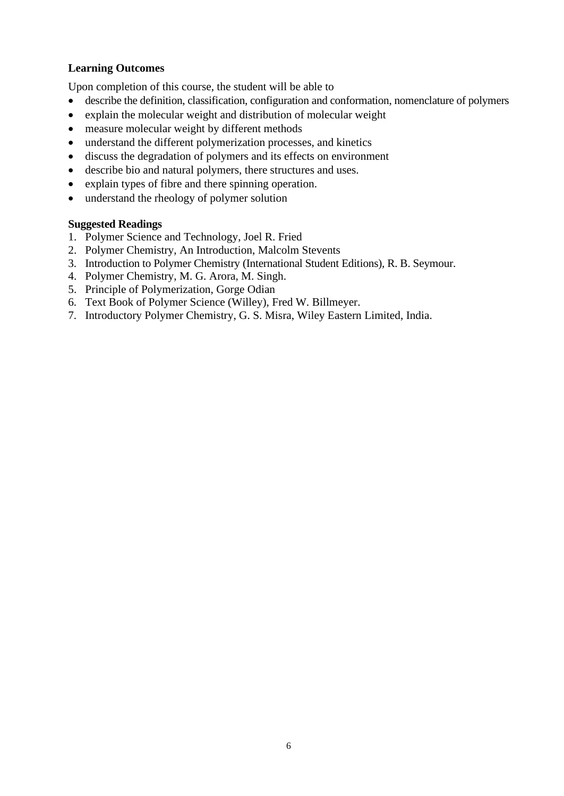# **Learning Outcomes**

Upon completion of this course, the student will be able to

- describe the definition, classification, configuration and conformation, nomenclature of polymers
- explain the molecular weight and distribution of molecular weight
- measure molecular weight by different methods
- understand the different polymerization processes, and kinetics
- discuss the degradation of polymers and its effects on environment
- describe bio and natural polymers, there structures and uses.
- explain types of fibre and there spinning operation.
- understand the rheology of polymer solution

- 1. Polymer Science and Technology, Joel R. Fried
- 2. Polymer Chemistry, An Introduction, Malcolm Stevents
- 3. Introduction to Polymer Chemistry (International Student Editions), R. B. Seymour.
- 4. Polymer Chemistry, M. G. Arora, M. Singh.
- 5. Principle of Polymerization, Gorge Odian
- 6. Text Book of Polymer Science (Willey), Fred W. Billmeyer.
- 7. Introductory Polymer Chemistry, G. S. Misra, Wiley Eastern Limited, India.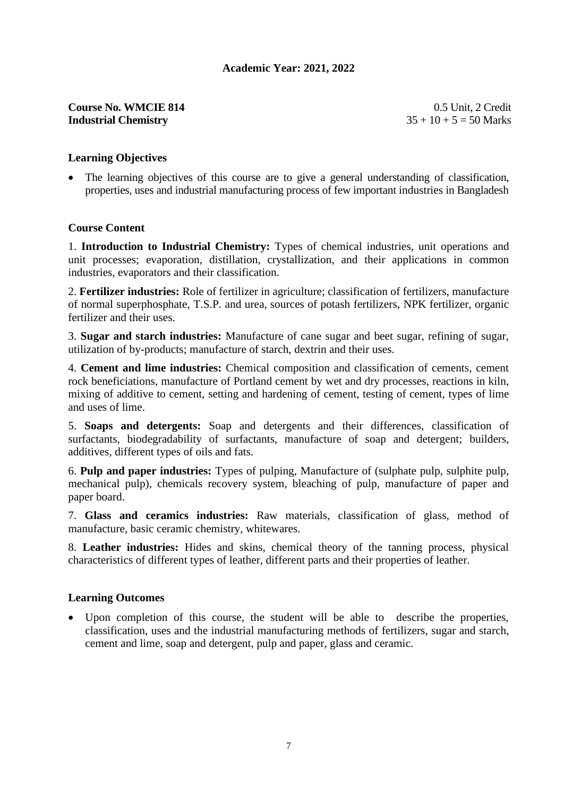# **Course No. WMCIE 814** 0.5 Unit, 2 Credit **Industrial Chemistry**  $35 + 10 + 5 = 50$  Marks

# **Learning Objectives**

• The learning objectives of this course are to give a general understanding of classification, properties, uses and industrial manufacturing process of few important industries in Bangladesh

#### **Course Content**

1. **Introduction to Industrial Chemistry:** Types of chemical industries, unit operations and unit processes; evaporation, distillation, crystallization, and their applications in common industries, evaporators and their classification.

2. **Fertilizer industries:** Role of fertilizer in agriculture; classification of fertilizers, manufacture of normal superphosphate, T.S.P. and urea, sources of potash fertilizers, NPK fertilizer, organic fertilizer and their uses.

3. **Sugar and starch industries:** Manufacture of cane sugar and beet sugar, refining of sugar, utilization of by-products; manufacture of starch, dextrin and their uses.

4. **Cement and lime industries:** Chemical composition and classification of cements, cement rock beneficiations, manufacture of Portland cement by wet and dry processes, reactions in kiln, mixing of additive to cement, setting and hardening of cement, testing of cement, types of lime and uses of lime.

5. **Soaps and detergents:** Soap and detergents and their differences, classification of surfactants, biodegradability of surfactants, manufacture of soap and detergent; builders, additives, different types of oils and fats.

6. **Pulp and paper industries:** Types of pulping, Manufacture of (sulphate pulp, sulphite pulp, mechanical pulp), chemicals recovery system, bleaching of pulp, manufacture of paper and paper board.

7. **Glass and ceramics industries:** Raw materials, classification of glass, method of manufacture, basic ceramic chemistry, whitewares.

8. **Leather industries:** Hides and skins, chemical theory of the tanning process, physical characteristics of different types of leather, different parts and their properties of leather.

#### **Learning Outcomes**

• Upon completion of this course, the student will be able to describe the properties, classification, uses and the industrial manufacturing methods of fertilizers, sugar and starch, cement and lime, soap and detergent, pulp and paper, glass and ceramic.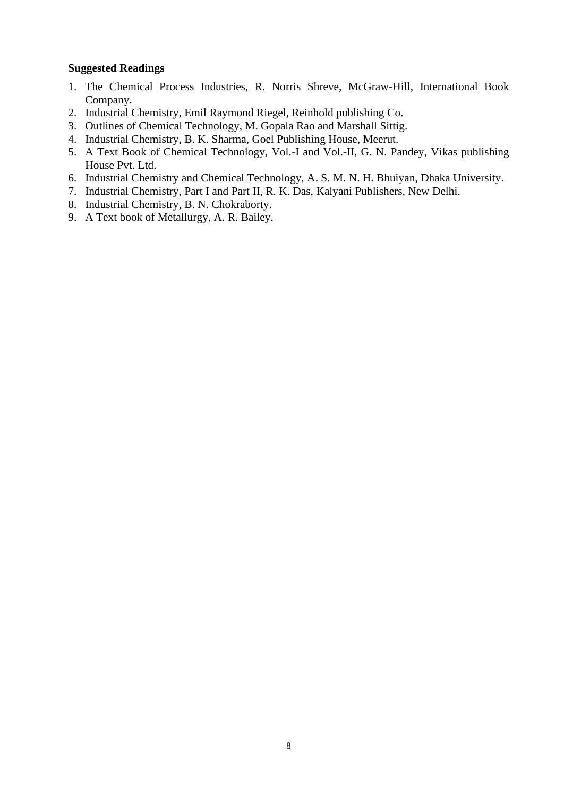- 1. The Chemical Process Industries, R. Norris Shreve, McGraw-Hill, International Book Company.
- 2. Industrial Chemistry, Emil Raymond Riegel, Reinhold publishing Co.
- 3. Outlines of Chemical Technology, M. Gopala Rao and Marshall Sittig.
- 4. Industrial Chemistry, B. K. Sharma, Goel Publishing House, Meerut.
- 5. A Text Book of Chemical Technology, Vol.-I and Vol.-II, G. N. Pandey, Vikas publishing House Pvt. Ltd.
- 6. Industrial Chemistry and Chemical Technology, A. S. M. N. H. Bhuiyan, Dhaka University.
- 7. Industrial Chemistry, Part I and Part II, R. K. Das, Kalyani Publishers, New Delhi.
- 8. Industrial Chemistry, B. N. Chokraborty.
- 9. A Text book of Metallurgy, A. R. Bailey.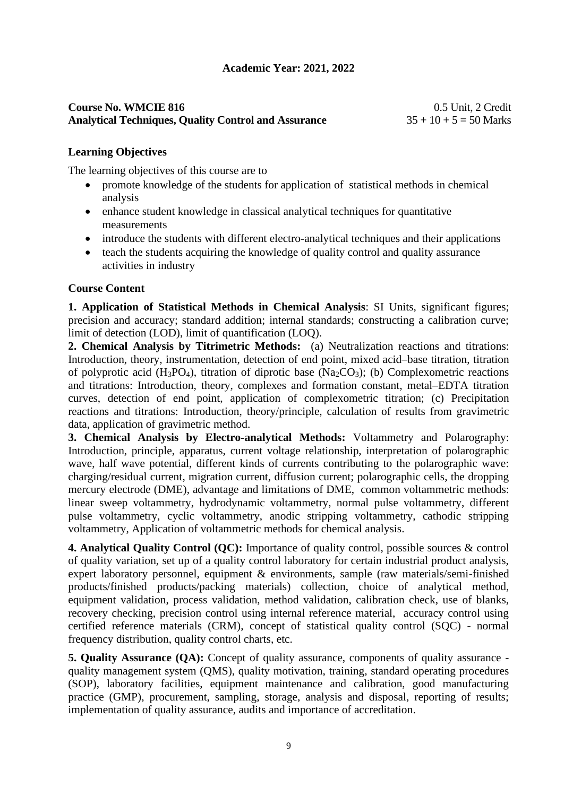#### **Course No. WMCIE 816** 0.5 Unit, 2 Credit **Analytical Techniques, Quality Control and Assurance** 35 + 10 + 5 = 50 Marks

# **Learning Objectives**

The learning objectives of this course are to

- promote knowledge of the students for application of statistical methods in chemical analysis
- enhance student knowledge in classical analytical techniques for quantitative measurements
- introduce the students with different electro-analytical techniques and their applications
- teach the students acquiring the knowledge of quality control and quality assurance activities in industry

# **Course Content**

**1. Application of Statistical Methods in Chemical Analysis**: SI Units, significant figures; precision and accuracy; standard addition; internal standards; constructing a calibration curve; limit of detection (LOD), limit of quantification (LOQ).

**2. Chemical Analysis by Titrimetric Methods:** (a) Neutralization reactions and titrations: Introduction, theory, instrumentation, detection of end point, mixed acid–base titration, titration of polyprotic acid (H<sub>3</sub>PO<sub>4</sub>), titration of diprotic base (Na<sub>2</sub>CO<sub>3</sub>); (b) Complexometric reactions and titrations: Introduction, theory, complexes and formation constant, metal–EDTA titration curves, detection of end point, application of complexometric titration; (c) Precipitation reactions and titrations: Introduction, theory/principle, calculation of results from gravimetric data, application of gravimetric method.

**3. Chemical Analysis by Electro-analytical Methods:** Voltammetry and Polarography: Introduction, principle, apparatus, current voltage relationship, interpretation of polarographic wave, half wave potential, different kinds of currents contributing to the polarographic wave: charging/residual current, migration current, diffusion current; polarographic cells, the dropping mercury electrode (DME), advantage and limitations of DME, common voltammetric methods: linear sweep voltammetry, hydrodynamic voltammetry, normal pulse voltammetry, different pulse voltammetry, cyclic voltammetry, anodic stripping voltammetry, cathodic stripping voltammetry, Application of voltammetric methods for chemical analysis.

**4. Analytical Quality Control (QC):** Importance of quality control, possible sources & control of quality variation, set up of a quality control laboratory for certain industrial product analysis, expert laboratory personnel, equipment & environments, sample (raw materials/semi-finished products/finished products/packing materials) collection, choice of analytical method, equipment validation, process validation, method validation, calibration check, use of blanks, recovery checking, precision control using internal reference material, accuracy control using certified reference materials (CRM), concept of statistical quality control (SQC) - normal frequency distribution, quality control charts, etc.

**5. Quality Assurance (QA):** Concept of quality assurance, components of quality assurance quality management system (QMS), quality motivation, training, standard operating procedures (SOP), laboratory facilities, equipment maintenance and calibration, good manufacturing practice (GMP), procurement, sampling, storage, analysis and disposal, reporting of results; implementation of quality assurance, audits and importance of accreditation.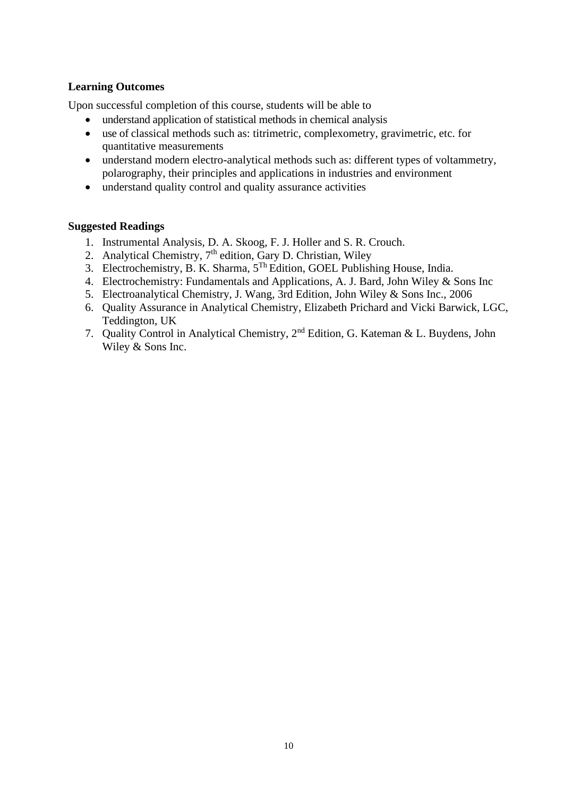# **Learning Outcomes**

Upon successful completion of this course, students will be able to

- understand application of statistical methods in chemical analysis
- use of classical methods such as: titrimetric, complexometry, gravimetric, etc. for quantitative measurements
- understand modern electro-analytical methods such as: different types of voltammetry, polarography, their principles and applications in industries and environment
- understand quality control and quality assurance activities

- 1. Instrumental Analysis, D. A. Skoog, F. J. Holler and S. R. Crouch.
- 2. Analytical Chemistry,  $7<sup>th</sup>$  edition, Gary D. Christian, Wiley
- 3. Electrochemistry, B. K. Sharma, 5Th Edition, GOEL Publishing House, India.
- 4. Electrochemistry: Fundamentals and Applications, A. J. Bard, John Wiley & Sons Inc
- 5. Electroanalytical Chemistry, J. Wang, 3rd Edition, John Wiley & Sons Inc., 2006
- 6. Quality Assurance in Analytical Chemistry, Elizabeth Prichard and Vicki Barwick, LGC, Teddington, UK
- 7. Quality Control in Analytical Chemistry, 2nd Edition, G. Kateman & L. Buydens, John Wiley & Sons Inc.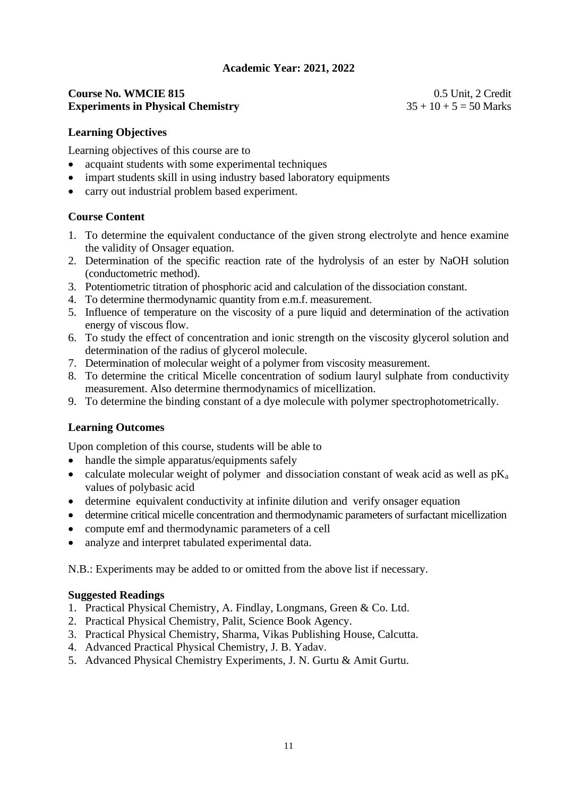#### **Course No. WMCIE 815** 0.5 Unit, 2 Credit **Experiments in Physical Chemistry** 35 + 10 + 5 = 50 Marks

#### **Learning Objectives**

Learning objectives of this course are to

- acquaint students with some experimental techniques
- impart students skill in using industry based laboratory equipments
- carry out industrial problem based experiment.

# **Course Content**

- 1. To determine the equivalent conductance of the given strong electrolyte and hence examine the validity of Onsager equation.
- 2. Determination of the specific reaction rate of the hydrolysis of an ester by NaOH solution (conductometric method).
- 3. Potentiometric titration of phosphoric acid and calculation of the dissociation constant.
- 4. To determine thermodynamic quantity from e.m.f. measurement.
- 5. Influence of temperature on the viscosity of a pure liquid and determination of the activation energy of viscous flow.
- 6. To study the effect of concentration and ionic strength on the viscosity glycerol solution and determination of the radius of glycerol molecule.
- 7. Determination of molecular weight of a polymer from viscosity measurement.
- 8. To determine the critical Micelle concentration of sodium lauryl sulphate from conductivity measurement. Also determine thermodynamics of micellization.
- 9. To determine the binding constant of a dye molecule with polymer spectrophotometrically.

# **Learning Outcomes**

Upon completion of this course, students will be able to

- handle the simple apparatus/equipments safely
- calculate molecular weight of polymer and dissociation constant of weak acid as well as  $pK_a$ values of polybasic acid
- determine equivalent conductivity at infinite dilution and verify onsager equation
- determine critical micelle concentration and thermodynamic parameters of surfactant micellization
- compute emf and thermodynamic parameters of a cell
- analyze and interpret tabulated experimental data.

N.B.: Experiments may be added to or omitted from the above list if necessary.

- 1. Practical Physical Chemistry, A. Findlay, Longmans, Green & Co. Ltd.
- 2. Practical Physical Chemistry, Palit, Science Book Agency.
- 3. Practical Physical Chemistry, Sharma, Vikas Publishing House, Calcutta.
- 4. Advanced Practical Physical Chemistry, J. B. Yadav.
- 5. Advanced Physical Chemistry Experiments, J. N. Gurtu & Amit Gurtu.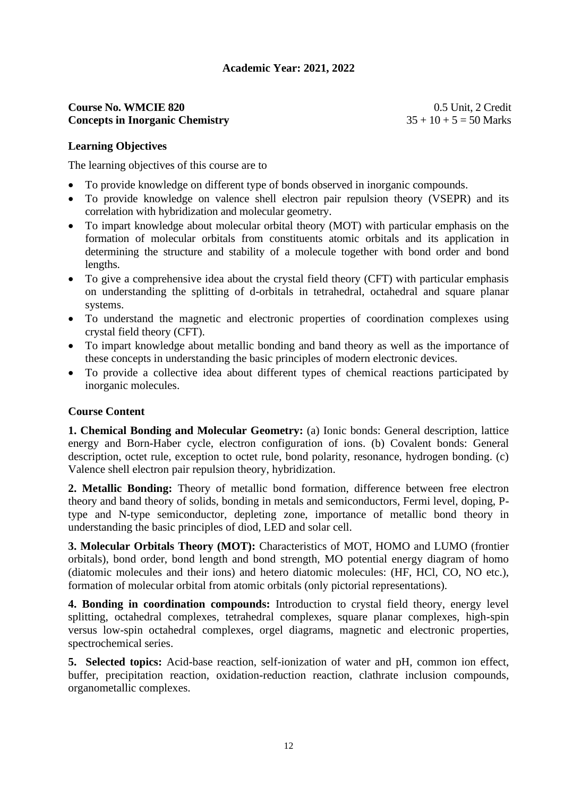# **Course No. WMCIE 820** 0.5 Unit, 2 Credit **Concepts in Inorganic Chemistry**  $35 + 10 + 5 = 50$  Marks

# **Learning Objectives**

The learning objectives of this course are to

- To provide knowledge on different type of bonds observed in inorganic compounds.
- To provide knowledge on valence shell electron pair repulsion theory (VSEPR) and its correlation with hybridization and molecular geometry.
- To impart knowledge about molecular orbital theory (MOT) with particular emphasis on the formation of molecular orbitals from constituents atomic orbitals and its application in determining the structure and stability of a molecule together with bond order and bond lengths.
- To give a comprehensive idea about the crystal field theory (CFT) with particular emphasis on understanding the splitting of d-orbitals in tetrahedral, octahedral and square planar systems.
- To understand the magnetic and electronic properties of coordination complexes using crystal field theory (CFT).
- To impart knowledge about metallic bonding and band theory as well as the importance of these concepts in understanding the basic principles of modern electronic devices.
- To provide a collective idea about different types of chemical reactions participated by inorganic molecules.

# **Course Content**

**1. Chemical Bonding and Molecular Geometry:** (a) Ionic bonds: General description, lattice energy and Born-Haber cycle, electron configuration of ions. (b) Covalent bonds: General description, octet rule, exception to octet rule, bond polarity, resonance, hydrogen bonding. (c) Valence shell electron pair repulsion theory, hybridization.

**2. Metallic Bonding:** Theory of metallic bond formation, difference between free electron theory and band theory of solids, bonding in metals and semiconductors, Fermi level, doping, Ptype and N-type semiconductor, depleting zone, importance of metallic bond theory in understanding the basic principles of diod, LED and solar cell.

**3. Molecular Orbitals Theory (MOT):** Characteristics of MOT, HOMO and LUMO (frontier orbitals), bond order, bond length and bond strength, MO potential energy diagram of homo (diatomic molecules and their ions) and hetero diatomic molecules: (HF, HCl, CO, NO etc.), formation of molecular orbital from atomic orbitals (only pictorial representations).

**4. Bonding in coordination compounds:** Introduction to crystal field theory, energy level splitting, octahedral complexes, tetrahedral complexes, square planar complexes, high-spin versus low-spin octahedral complexes, orgel diagrams, magnetic and electronic properties, spectrochemical series.

**5. Selected topics:** Acid-base reaction, self-ionization of water and pH, common ion effect, buffer, precipitation reaction, oxidation-reduction reaction, clathrate inclusion compounds, organometallic complexes.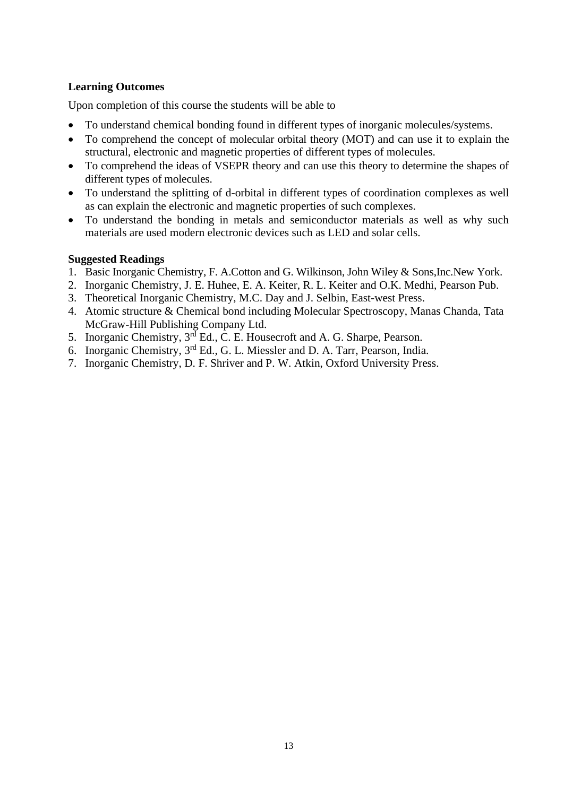# **Learning Outcomes**

Upon completion of this course the students will be able to

- To understand chemical bonding found in different types of inorganic molecules/systems.
- To comprehend the concept of molecular orbital theory (MOT) and can use it to explain the structural, electronic and magnetic properties of different types of molecules.
- To comprehend the ideas of VSEPR theory and can use this theory to determine the shapes of different types of molecules.
- To understand the splitting of d-orbital in different types of coordination complexes as well as can explain the electronic and magnetic properties of such complexes.
- To understand the bonding in metals and semiconductor materials as well as why such materials are used modern electronic devices such as LED and solar cells.

- 1. Basic Inorganic Chemistry, F. A.Cotton and G. Wilkinson, John Wiley & Sons,Inc.New York.
- 2. Inorganic Chemistry, J. E. Huhee, E. A. Keiter, R. L. Keiter and O.K. Medhi, Pearson Pub.
- 3. Theoretical Inorganic Chemistry, M.C. Day and J. Selbin, East-west Press.
- 4. Atomic structure & Chemical bond including Molecular Spectroscopy, Manas Chanda, Tata McGraw-Hill Publishing Company Ltd.
- 5. Inorganic Chemistry,  $3^{rd}$  Ed., C. E. Housecroft and A. G. Sharpe, Pearson.
- 6. Inorganic Chemistry, 3rd Ed., G. L. Miessler and D. A. Tarr, Pearson, India.
- 7. Inorganic Chemistry, D. F. Shriver and P. W. Atkin, Oxford University Press.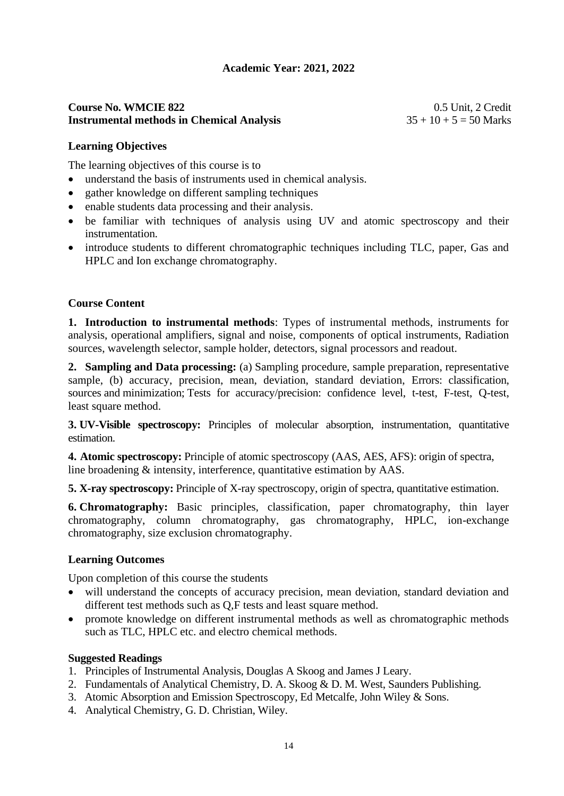# **Course No. WMCIE 822** 0.5 Unit, 2 Credit **Instrumental methods in Chemical Analysis** 35 + 10 + 5 = 50 Marks

# **Learning Objectives**

The learning objectives of this course is to

- understand the basis of instruments used in chemical analysis.
- gather knowledge on different sampling techniques
- enable students data processing and their analysis.
- be familiar with techniques of analysis using UV and atomic spectroscopy and their instrumentation.
- introduce students to different chromatographic techniques including TLC, paper, Gas and HPLC and Ion exchange chromatography.

# **Course Content**

**1. Introduction to instrumental methods**: Types of instrumental methods, instruments for analysis, operational amplifiers, signal and noise, components of optical instruments, Radiation sources, wavelength selector, sample holder, detectors, signal processors and readout.

**2. Sampling and Data processing:** (a) Sampling procedure, sample preparation, representative sample, (b) accuracy, precision, mean, deviation, standard deviation, Errors: classification, sources and minimization; Tests for accuracy/precision: confidence level, t-test, F-test, Q-test, least square method.

**3. UV-Visible spectroscopy:** Principles of molecular absorption, instrumentation, quantitative estimation.

**4. Atomic spectroscopy:** Principle of atomic spectroscopy (AAS, AES, AFS): origin of spectra, line broadening & intensity, interference, quantitative estimation by AAS.

**5. X-ray spectroscopy:** Principle of X-ray spectroscopy, origin of spectra, quantitative estimation.

**6. Chromatography:** Basic principles, classification, paper chromatography, thin layer chromatography, column chromatography, gas chromatography, HPLC, ion-exchange chromatography, size exclusion chromatography.

# **Learning Outcomes**

Upon completion of this course the students

- will understand the concepts of accuracy precision, mean deviation, standard deviation and different test methods such as Q,F tests and least square method.
- promote knowledge on different instrumental methods as well as chromatographic methods such as TLC, HPLC etc. and electro chemical methods.

- 1. Principles of Instrumental Analysis, Douglas A Skoog and James J Leary.
- 2. Fundamentals of Analytical Chemistry, D. A. Skoog & D. M. West, Saunders Publishing.
- 3. Atomic Absorption and Emission Spectroscopy, Ed Metcalfe, John Wiley & Sons.
- 4. Analytical Chemistry, G. D. Christian, Wiley.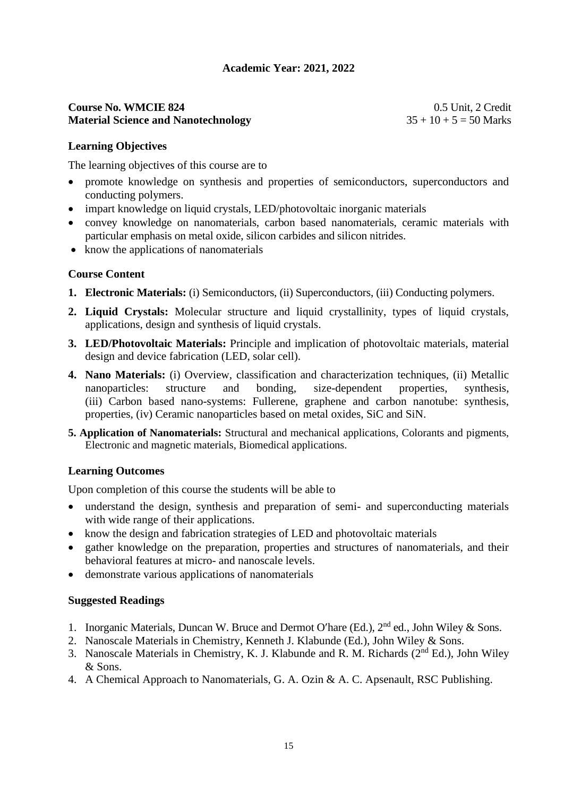#### **Course No. WMCIE 824** 0.5 Unit, 2 Credit **Material Science and Nanotechnology** 35 + 10 + 5 = 50 Marks

#### **Learning Objectives**

The learning objectives of this course are to

- promote knowledge on synthesis and properties of semiconductors, superconductors and conducting polymers.
- impart knowledge on liquid crystals, LED/photovoltaic inorganic materials
- convey knowledge on nanomaterials, carbon based nanomaterials, ceramic materials with particular emphasis on metal oxide, silicon carbides and silicon nitrides.
- know the applications of nanomaterials

#### **Course Content**

- **1. Electronic Materials:** (i) Semiconductors, (ii) Superconductors, (iii) Conducting polymers.
- **2. Liquid Crystals:** Molecular structure and liquid crystallinity, types of liquid crystals, applications, design and synthesis of liquid crystals.
- **3. LED/Photovoltaic Materials:** Principle and implication of photovoltaic materials, material design and device fabrication (LED, solar cell).
- **4. Nano Materials:** (i) Overview, classification and characterization techniques, (ii) Metallic nanoparticles: structure and bonding, size-dependent properties, synthesis, (iii) Carbon based nano-systems: Fullerene, graphene and carbon nanotube: synthesis, properties, (iv) Ceramic nanoparticles based on metal oxides, SiC and SiN.
- **5. Application of Nanomaterials:** Structural and mechanical applications, Colorants and pigments, Electronic and magnetic materials, Biomedical applications.

#### **Learning Outcomes**

Upon completion of this course the students will be able to

- understand the design, synthesis and preparation of semi- and superconducting materials with wide range of their applications.
- know the design and fabrication strategies of LED and photovoltaic materials
- gather knowledge on the preparation, properties and structures of nanomaterials, and their behavioral features at micro- and nanoscale levels.
- demonstrate various applications of nanomaterials

- 1. Inorganic Materials, Duncan W. Bruce and Dermot O'hare (Ed.), 2<sup>nd</sup> ed., John Wiley & Sons.
- 2. Nanoscale Materials in Chemistry, Kenneth J. Klabunde (Ed.), John Wiley & Sons.
- 3. Nanoscale Materials in Chemistry, K. J. Klabunde and R. M. Richards  $(2<sup>nd</sup> Ed.)$ , John Wiley & Sons.
- 4. A Chemical Approach to Nanomaterials, G. A. Ozin & A. C. Apsenault, RSC Publishing.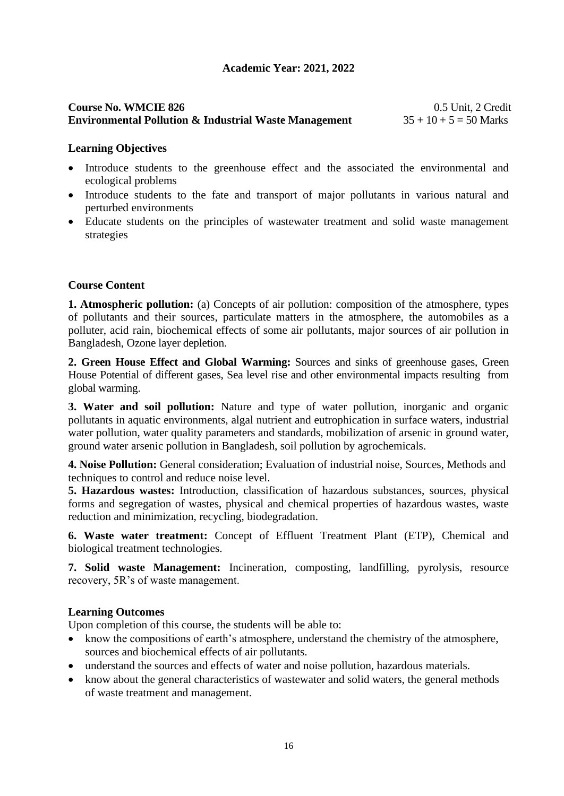# **Course No. WMCIE 826** 0.5 Unit, 2 Credit **Environmental Pollution & Industrial Waste Management** 35 + 10 + 5 = 50 Marks

#### **Learning Objectives**

- Introduce students to the greenhouse effect and the associated the environmental and ecological problems
- Introduce students to the fate and transport of major pollutants in various natural and perturbed environments
- Educate students on the principles of wastewater treatment and solid waste management strategies

# **Course Content**

**1. Atmospheric pollution:** (a) Concepts of air pollution: composition of the atmosphere, types of pollutants and their sources, particulate matters in the atmosphere, the automobiles as a polluter, acid rain, biochemical effects of some air pollutants, major sources of air pollution in Bangladesh, Ozone layer depletion.

**2. Green House Effect and Global Warming:** Sources and sinks of greenhouse gases, Green House Potential of different gases, Sea level rise and other environmental impacts resulting from global warming.

**3. Water and soil pollution:** Nature and type of water pollution, inorganic and organic pollutants in aquatic environments, algal nutrient and eutrophication in surface waters, industrial water pollution, water quality parameters and standards, mobilization of arsenic in ground water, ground water arsenic pollution in Bangladesh, soil pollution by agrochemicals.

**4. Noise Pollution:** General consideration; Evaluation of industrial noise, Sources, Methods and techniques to control and reduce noise level.

**5. Hazardous wastes:** Introduction, classification of hazardous substances, sources, physical forms and segregation of wastes, physical and chemical properties of hazardous wastes, waste reduction and minimization, recycling, biodegradation.

**6. Waste water treatment:** Concept of Effluent Treatment Plant (ETP), Chemical and biological treatment technologies.

**7. Solid waste Management:** Incineration, composting, landfilling, pyrolysis, resource recovery, 5R's of waste management.

#### **Learning Outcomes**

Upon completion of this course, the students will be able to:

- know the compositions of earth's atmosphere, understand the chemistry of the atmosphere, sources and biochemical effects of air pollutants.
- understand the sources and effects of water and noise pollution, hazardous materials.
- know about the general characteristics of wastewater and solid waters, the general methods of waste treatment and management.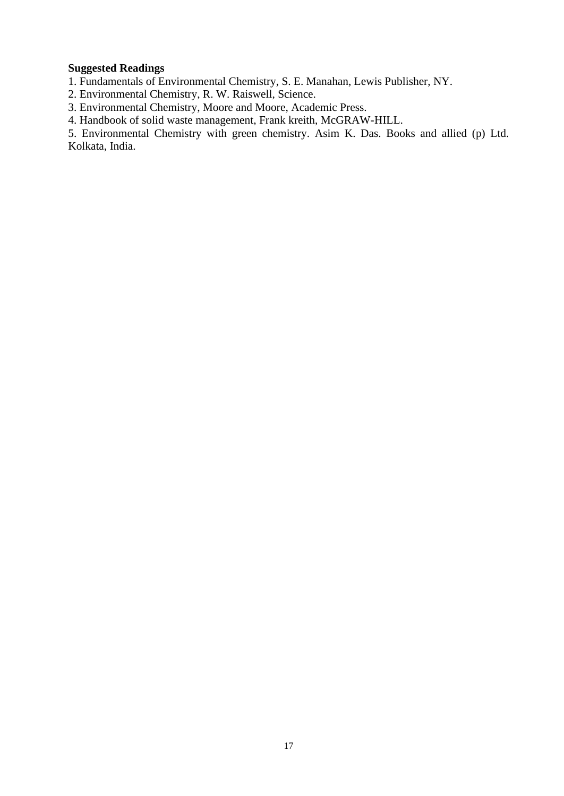#### **Suggested Readings**

1. Fundamentals of Environmental Chemistry, S. E. Manahan, Lewis Publisher, NY.

2. Environmental Chemistry, R. W. Raiswell, Science.

3. Environmental Chemistry, Moore and Moore, Academic Press.

4. Handbook of solid waste management, Frank kreith, McGRAW-HILL.

5. Environmental Chemistry with green chemistry. Asim K. Das. Books and allied (p) Ltd. Kolkata, India.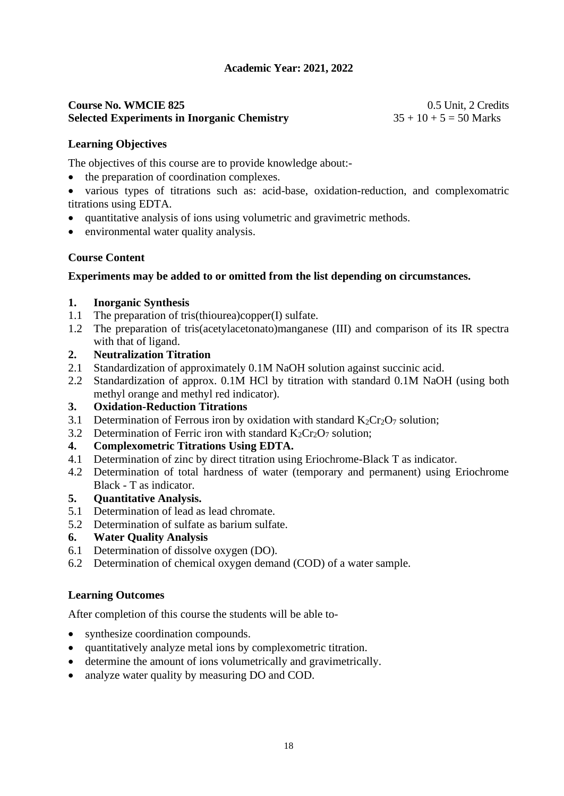# **Course No. WMCIE 825** 0.5 Unit, 2 Credits **Selected Experiments in Inorganic Chemistry**  $35 + 10 + 5 = 50$  Marks

# **Learning Objectives**

The objectives of this course are to provide knowledge about:-

• the preparation of coordination complexes.

• various types of titrations such as: acid-base, oxidation-reduction, and complexomatric titrations using EDTA.

- quantitative analysis of ions using volumetric and gravimetric methods.
- environmental water quality analysis.

# **Course Content**

# **Experiments may be added to or omitted from the list depending on circumstances.**

# **1. Inorganic Synthesis**

- 1.1 The preparation of tris(thiourea)copper(I) sulfate.
- 1.2 The preparation of tris(acetylacetonato)manganese (III) and comparison of its IR spectra with that of ligand.

# **2. Neutralization Titration**

- 2.1 Standardization of approximately 0.1M NaOH solution against succinic acid.
- 2.2 Standardization of approx. 0.1M HCl by titration with standard 0.1M NaOH (using both methyl orange and methyl red indicator).

# **3. Oxidation-Reduction Titrations**

- 3.1 Determination of Ferrous iron by oxidation with standard  $K_2Cr_2O_7$  solution;
- 3.2 Determination of Ferric iron with standard  $K_2Cr_2O_7$  solution;

# **4. Complexometric Titrations Using EDTA.**

- 4.1 Determination of zinc by direct titration using Eriochrome-Black T as indicator.
- 4.2 Determination of total hardness of water (temporary and permanent) using Eriochrome Black - T as indicator.

# **5. Quantitative Analysis.**

- 5.1 Determination of lead as lead chromate.
- 5.2 Determination of sulfate as barium sulfate.

# **6. Water Quality Analysis**

- 6.1 Determination of dissolve oxygen (DO).
- 6.2 Determination of chemical oxygen demand (COD) of a water sample.

# **Learning Outcomes**

After completion of this course the students will be able to-

- synthesize coordination compounds.
- quantitatively analyze metal ions by complexometric titration.
- determine the amount of ions volumetrically and gravimetrically.
- analyze water quality by measuring DO and COD.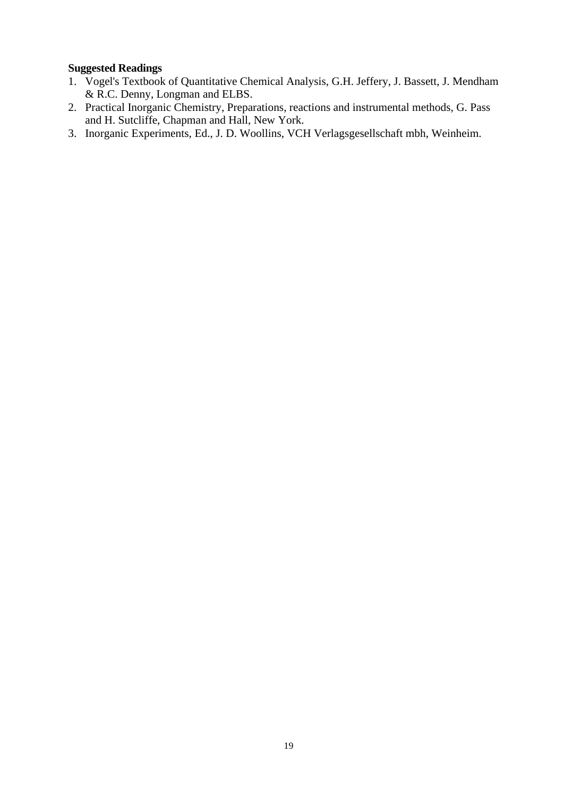- 1. Vogel's Textbook of Quantitative Chemical Analysis, G.H. Jeffery, J. Bassett, J. Mendham & R.C. Denny, Longman and ELBS.
- 2. Practical Inorganic Chemistry, Preparations, reactions and instrumental methods, G. Pass and H. Sutcliffe, Chapman and Hall, New York.
- 3. Inorganic Experiments, Ed., J. D. Woollins, VCH Verlagsgesellschaft mbh, Weinheim.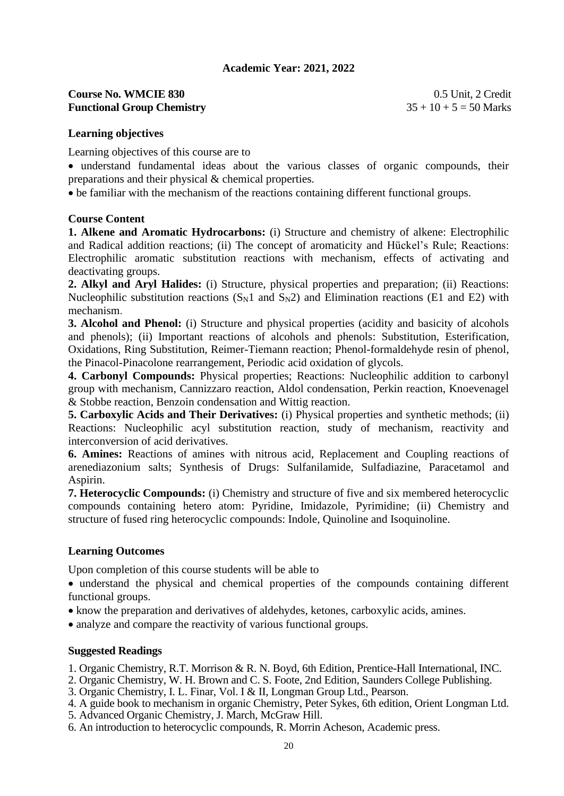# **Course No. WMCIE 830** 0.5 Unit, 2 Credit Functional Group Chemistry 35 + 10 + 5 = 50 Marks

#### **Learning objectives**

Learning objectives of this course are to

• understand fundamental ideas about the various classes of organic compounds, their preparations and their physical & chemical properties.

• be familiar with the mechanism of the reactions containing different functional groups.

#### **Course Content**

**1. Alkene and Aromatic Hydrocarbons:** (i) Structure and chemistry of alkene: Electrophilic and Radical addition reactions; (ii) The concept of aromaticity and Hückel's Rule; Reactions: Electrophilic aromatic substitution reactions with mechanism, effects of activating and deactivating groups.

**2. Alkyl and Aryl Halides:** (i) Structure, physical properties and preparation; (ii) Reactions: Nucleophilic substitution reactions  $(S_N1$  and  $S_N2)$  and Elimination reactions (E1 and E2) with mechanism.

**3. Alcohol and Phenol:** (i) Structure and physical properties (acidity and basicity of alcohols and phenols); (ii) Important reactions of alcohols and phenols: Substitution, Esterification, Oxidations, Ring Substitution, Reimer-Tiemann reaction; Phenol-formaldehyde resin of phenol, the Pinacol-Pinacolone rearrangement, Periodic acid oxidation of glycols.

**4. Carbonyl Compounds:** Physical properties; Reactions: Nucleophilic addition to carbonyl group with mechanism, Cannizzaro reaction, Aldol condensation, Perkin reaction, Knoevenagel & Stobbe reaction, Benzoin condensation and Wittig reaction.

**5. Carboxylic Acids and Their Derivatives:** (i) Physical properties and synthetic methods; (ii) Reactions: Nucleophilic acyl substitution reaction, study of mechanism, reactivity and interconversion of acid derivatives.

**6. Amines:** Reactions of amines with nitrous acid, Replacement and Coupling reactions of arenediazonium salts; Synthesis of Drugs: Sulfanilamide, Sulfadiazine, Paracetamol and Aspirin.

**7. Heterocyclic Compounds:** (i) Chemistry and structure of five and six membered heterocyclic compounds containing hetero atom: Pyridine, Imidazole, Pyrimidine; (ii) Chemistry and structure of fused ring heterocyclic compounds: Indole, Quinoline and Isoquinoline.

#### **Learning Outcomes**

Upon completion of this course students will be able to

• understand the physical and chemical properties of the compounds containing different functional groups.

- know the preparation and derivatives of aldehydes, ketones, carboxylic acids, amines.
- analyze and compare the reactivity of various functional groups.

- 1. Organic Chemistry, R.T. Morrison & R. N. Boyd, 6th Edition, Prentice-Hall International, INC.
- 2. Organic Chemistry, W. H. Brown and C. S. Foote, 2nd Edition, Saunders College Publishing.
- 3. Organic Chemistry, I. L. Finar, Vol. I & II, Longman Group Ltd., Pearson.
- 4. A guide book to mechanism in organic Chemistry, Peter Sykes, 6th edition, Orient Longman Ltd.
- 5. Advanced Organic Chemistry, J. March, McGraw Hill.
- 6. An introduction to heterocyclic compounds, R. Morrin Acheson, Academic press.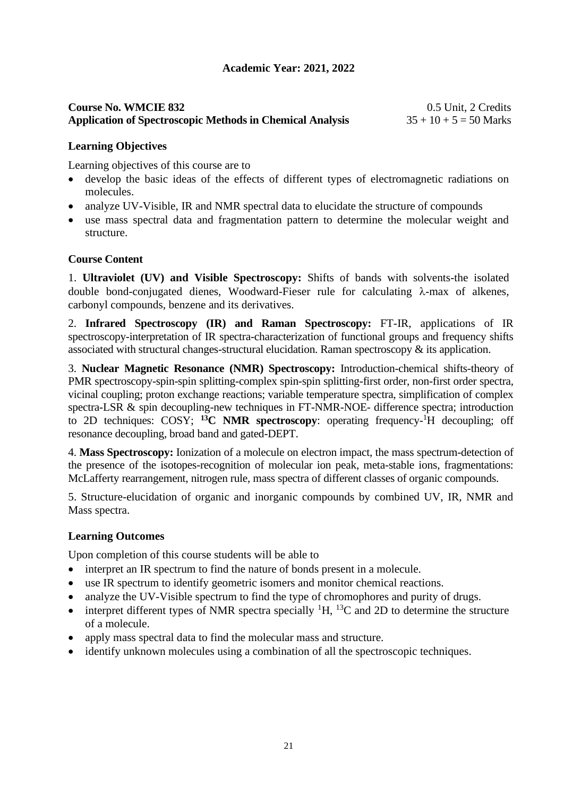# **Course No. WMCIE 832** 0.5 Unit, 2 Credits **Application of Spectroscopic Methods in Chemical Analysis** 35 + 10 + 5 = 50 Marks

# **Learning Objectives**

Learning objectives of this course are to

- develop the basic ideas of the effects of different types of electromagnetic radiations on molecules.
- analyze UV-Visible, IR and NMR spectral data to elucidate the structure of compounds
- use mass spectral data and fragmentation pattern to determine the molecular weight and structure.

# **Course Content**

1. **Ultraviolet (UV) and Visible Spectroscopy:** Shifts of bands with solvents-the isolated double bond-conjugated dienes, Woodward-Fieser rule for calculating  $\lambda$ -max of alkenes, carbonyl compounds, benzene and its derivatives.

2. **Infrared Spectroscopy (IR) and Raman Spectroscopy:** FT-IR, applications of IR spectroscopy-interpretation of IR spectra-characterization of functional groups and frequency shifts associated with structural changes-structural elucidation. Raman spectroscopy & its application.

3. **Nuclear Magnetic Resonance (NMR) Spectroscopy:** Introduction-chemical shifts-theory of PMR spectroscopy-spin-spin splitting-complex spin-spin splitting-first order, non-first order spectra, vicinal coupling; proton exchange reactions; variable temperature spectra, simplification of complex spectra-LSR & spin decoupling-new techniques in FT-NMR-NOE- difference spectra; introduction to 2D techniques: COSY; <sup>13</sup>C NMR spectroscopy: operating frequency-<sup>1</sup>H decoupling; off resonance decoupling, broad band and gated-DEPT.

4. **Mass Spectroscopy:** Ionization of a molecule on electron impact, the mass spectrum-detection of the presence of the isotopes-recognition of molecular ion peak, meta-stable ions, fragmentations: McLafferty rearrangement, nitrogen rule, mass spectra of different classes of organic compounds.

5. Structure-elucidation of organic and inorganic compounds by combined UV, IR, NMR and Mass spectra.

#### **Learning Outcomes**

Upon completion of this course students will be able to

- interpret an IR spectrum to find the nature of bonds present in a molecule.
- use IR spectrum to identify geometric isomers and monitor chemical reactions.
- analyze the UV-Visible spectrum to find the type of chromophores and purity of drugs.
- interpret different types of NMR spectra specially  ${}^{1}H$ ,  ${}^{13}C$  and 2D to determine the structure of a molecule.
- apply mass spectral data to find the molecular mass and structure.
- identify unknown molecules using a combination of all the spectroscopic techniques.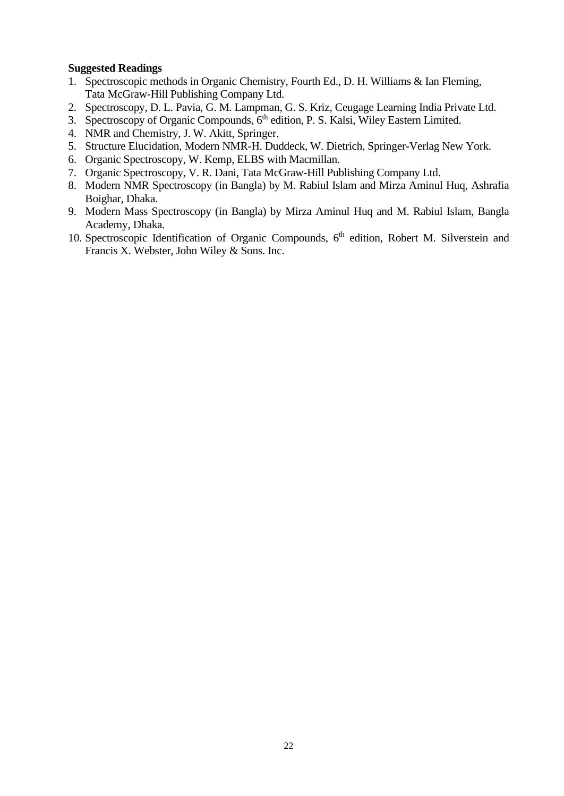- 1. Spectroscopic methods in Organic Chemistry, Fourth Ed., D. H. Williams & Ian Fleming, Tata McGraw-Hill Publishing Company Ltd.
- 2. Spectroscopy, D. L. Pavia, G. M. Lampman, G. S. Kriz, Ceugage Learning India Private Ltd.
- 3. Spectroscopy of Organic Compounds, 6<sup>th</sup> edition, P. S. Kalsi, Wiley Eastern Limited.
- 4. NMR and Chemistry, J. W. Akitt, Springer.
- 5. Structure Elucidation, Modern NMR-H. Duddeck, W. Dietrich, Springer-Verlag New York.
- 6. Organic Spectroscopy, W. Kemp, ELBS with Macmillan.
- 7. Organic Spectroscopy, V. R. Dani, Tata McGraw-Hill Publishing Company Ltd.
- 8. Modern NMR Spectroscopy (in Bangla) by M. Rabiul Islam and Mirza Aminul Huq, Ashrafia Boighar, Dhaka.
- 9. Modern Mass Spectroscopy (in Bangla) by Mirza Aminul Huq and M. Rabiul Islam, Bangla Academy, Dhaka.
- 10. Spectroscopic Identification of Organic Compounds, 6<sup>th</sup> edition, Robert M. Silverstein and Francis X. Webster, John Wiley & Sons. Inc.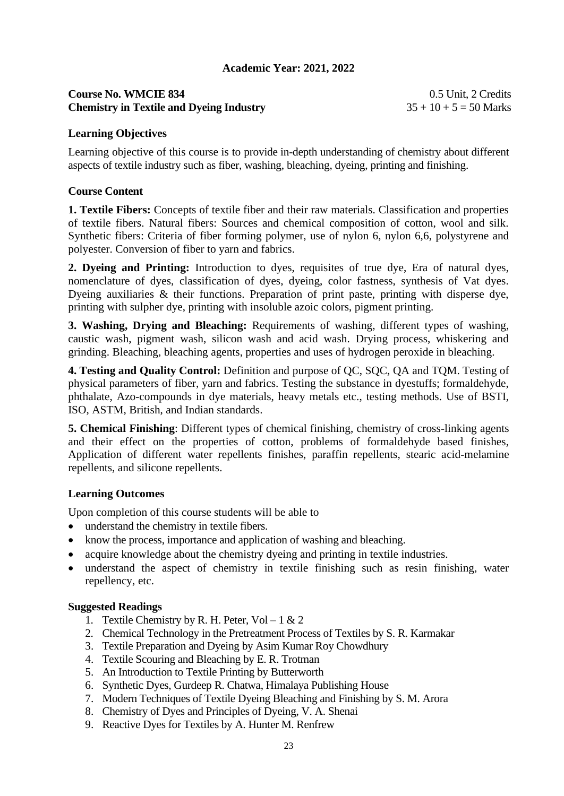# **Course No. WMCIE 834** 0.5 Unit, 2 Credits **Chemistry in Textile and Dyeing Industry** 35 + 10 + 5 = 50 Marks

#### **Learning Objectives**

Learning objective of this course is to provide in-depth understanding of chemistry about different aspects of textile industry such as fiber, washing, bleaching, dyeing, printing and finishing.

#### **Course Content**

**1. Textile Fibers:** Concepts of textile fiber and their raw materials. Classification and properties of textile fibers. Natural fibers: Sources and chemical composition of cotton, wool and silk. Synthetic fibers: Criteria of fiber forming polymer, use of nylon 6, nylon 6,6, polystyrene and polyester. Conversion of fiber to yarn and fabrics.

**2. Dyeing and Printing:** Introduction to dyes, requisites of true dye, Era of natural dyes, nomenclature of dyes, classification of dyes, dyeing, color fastness, synthesis of Vat dyes. Dyeing auxiliaries & their functions. Preparation of print paste, printing with disperse dye, printing with sulpher dye, printing with insoluble azoic colors, pigment printing.

**3. Washing, Drying and Bleaching:** Requirements of washing, different types of washing, caustic wash, pigment wash, silicon wash and acid wash. Drying process, whiskering and grinding. Bleaching, bleaching agents, properties and uses of hydrogen peroxide in bleaching.

**4. Testing and Quality Control:** Definition and purpose of QC, SQC, QA and TQM. Testing of physical parameters of fiber, yarn and fabrics. Testing the substance in dyestuffs; formaldehyde, phthalate, Azo-compounds in dye materials, heavy metals etc., testing methods. Use of BSTI, ISO, ASTM, British, and Indian standards.

**5. Chemical Finishing**: Different types of chemical finishing, chemistry of cross-linking agents and their effect on the properties of cotton, problems of formaldehyde based finishes, Application of different water repellents finishes, paraffin repellents, stearic acid-melamine repellents, and silicone repellents.

#### **Learning Outcomes**

Upon completion of this course students will be able to

- understand the chemistry in textile fibers.
- know the process, importance and application of washing and bleaching.
- acquire knowledge about the chemistry dyeing and printing in textile industries.
- understand the aspect of chemistry in textile finishing such as resin finishing, water repellency, etc.

- 1. Textile Chemistry by R. H. Peter,  $Vol 1 & 2$
- 2. Chemical Technology in the Pretreatment Process of Textiles by S. R. Karmakar
- 3. Textile Preparation and Dyeing by Asim Kumar Roy Chowdhury
- 4. Textile Scouring and Bleaching by E. R. Trotman
- 5. An Introduction to Textile Printing by Butterworth
- 6. Synthetic Dyes, Gurdeep R. Chatwa, Himalaya Publishing House
- 7. Modern Techniques of Textile Dyeing Bleaching and Finishing by S. M. Arora
- 8. Chemistry of Dyes and Principles of Dyeing, V. A. Shenai
- 9. Reactive Dyes for Textiles by A. Hunter M. Renfrew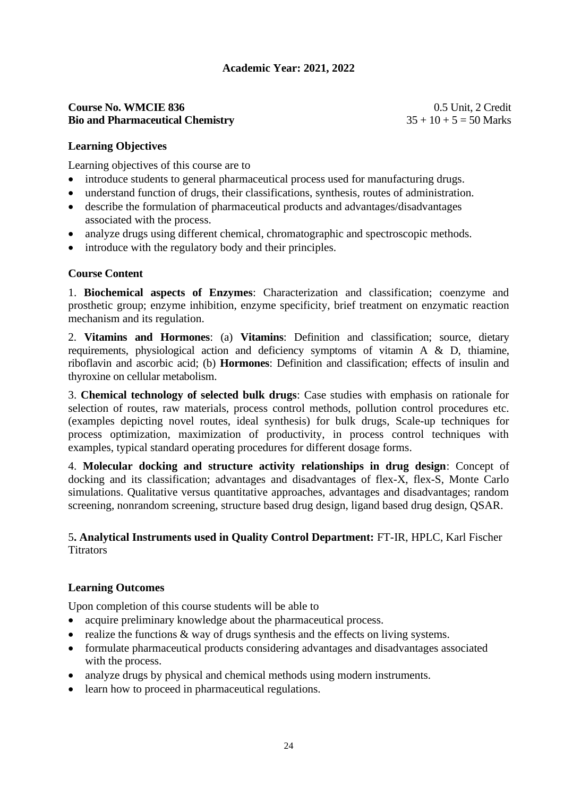#### **Course No. WMCIE 836** 0.5 Unit, 2 Credit **Bio and Pharmaceutical Chemistry** 35 + 10 + 5 = 50 Marks

# **Learning Objectives**

Learning objectives of this course are to

- introduce students to general pharmaceutical process used for manufacturing drugs.
- understand function of drugs, their classifications, synthesis, routes of administration.
- describe the formulation of pharmaceutical products and advantages/disadvantages associated with the process.
- analyze drugs using different chemical, chromatographic and spectroscopic methods.
- introduce with the regulatory body and their principles.

# **Course Content**

1. **Biochemical aspects of Enzymes**: Characterization and classification; coenzyme and prosthetic group; enzyme inhibition, enzyme specificity, brief treatment on enzymatic reaction mechanism and its regulation.

2. **Vitamins and Hormones**: (a) **Vitamins**: Definition and classification; source, dietary requirements, physiological action and deficiency symptoms of vitamin A & D, thiamine, riboflavin and ascorbic acid; (b) **Hormones**: Definition and classification; effects of insulin and thyroxine on cellular metabolism.

3. **Chemical technology of selected bulk drugs**: Case studies with emphasis on rationale for selection of routes, raw materials, process control methods, pollution control procedures etc. (examples depicting novel routes, ideal synthesis) for bulk drugs, Scale-up techniques for process optimization, maximization of productivity, in process control techniques with examples, typical standard operating procedures for different dosage forms.

4. **Molecular docking and structure activity relationships in drug design**: Concept of docking and its classification; advantages and disadvantages of flex-X, flex-S, Monte Carlo simulations. Qualitative versus quantitative approaches, advantages and disadvantages; random screening, nonrandom screening, structure based drug design, ligand based drug design, QSAR.

# 5**. Analytical Instruments used in Quality Control Department:** FT-IR, HPLC, Karl Fischer **Titrators**

# **Learning Outcomes**

Upon completion of this course students will be able to

- acquire preliminary knowledge about the pharmaceutical process.
- realize the functions  $\&$  way of drugs synthesis and the effects on living systems.
- formulate pharmaceutical products considering advantages and disadvantages associated with the process.
- analyze drugs by physical and chemical methods using modern instruments.
- learn how to proceed in pharmaceutical regulations.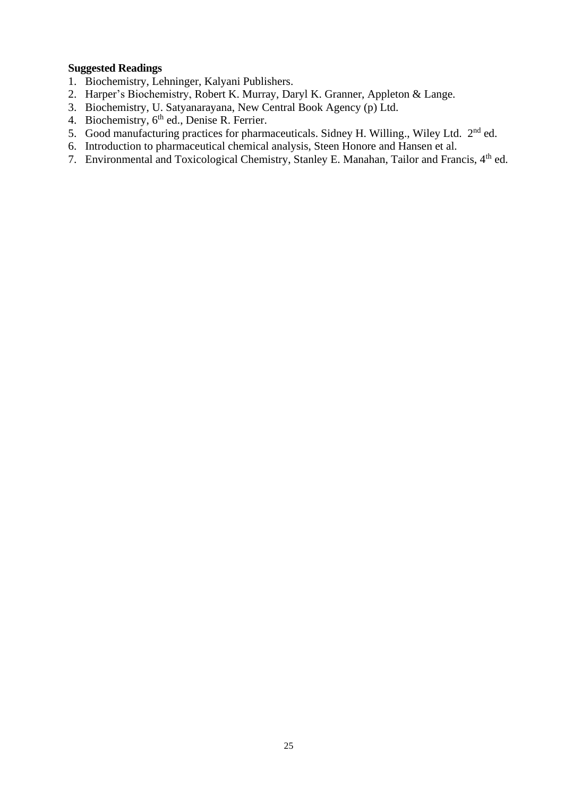- 1. Biochemistry, Lehninger, Kalyani Publishers.
- 2. Harper's Biochemistry, Robert K. Murray, Daryl K. Granner, Appleton & Lange.
- 3. Biochemistry, U. Satyanarayana, New Central Book Agency (p) Ltd.
- 4. Biochemistry,  $6<sup>th</sup>$  ed., Denise R. Ferrier.
- 5. Good manufacturing practices for pharmaceuticals. Sidney H. Willing., Wiley Ltd. 2nd ed.
- 6. Introduction to pharmaceutical chemical analysis, Steen Honore and Hansen et al.
- 7. Environmental and Toxicological Chemistry, Stanley E. Manahan, Tailor and Francis, 4<sup>th</sup> ed.